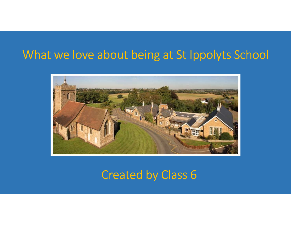## What we love about being at St Ippolyts School



# Created by Class 6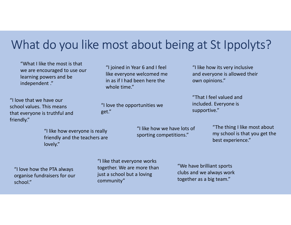# What do you like most about being at St Ippolyts?

"What I like the most is that we are encouraged to use our learning powers and be independent ."

mometheme...<br>
Note that we have our<br>
hool values. This means<br>
at everyone is truthful and<br>
indly."<br>
"I like how everyone is really<br>
friendly and the teachers are<br>
lovely."<br>
"I like that everyone work<br>
"I like that everyone "I love that we have our school values. This means that everyone is truthful and friendly."

"I like how everyone is really friendly and the teachers are lovely."

"I love how the PTA always school."

"I like that everyone works together. We are more than just a school but a loving community"

"I like how its very inclusive and everyone is allowed their own opinions."

"That I feel valued and included. Everyone is supportive."

> "The thing I like most about my school is that you get the best experience."

"We have brilliant sports clubs and we always work together as a big team."

like everyone welcomed me in as if I had been here the whole time."

"I joined in Year 6 and I feel

"I love the opportunities we get."

> "I like how we have lots of sporting competitions."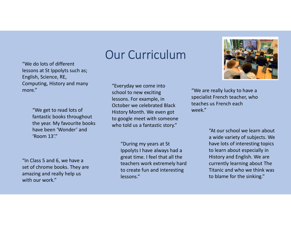"We do lots of different lessons at St Ippolyts such as; English, Science, RE, Computing, History and many

> fantastic books throughout the year. My favourite books have been 'Wonder' and 'Room 13'."

"In Class 5 and 6, we have a set of chrome books. They are amazing and really help us with our work."

# Our Curriculum

more." The sense is the sense in the contract of the sense in the sense in the west of the sense in the sense i "We get to read lots of week." "Everyday we come into school to new exciting lessons. For example, in October we celebrated Black History Month. We even got to google meet with someone who told us a fantastic story."

> "During my years at St Ippolyts I have always had a great time. I feel that all the teachers work extremely hard to create fun and interesting lessons."



specialist French teacher, who teaches us French each

> "At our school we learn about a wide variety of subjects. We have lots of interesting topics to learn about especially in History and English. We are currently learning about The Titanic and who we think was to blame for the sinking."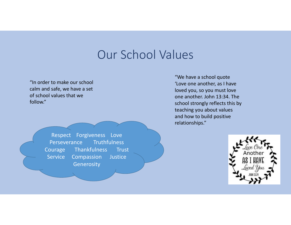### Our School Values

"In order to make our school calm and safe, we have a set of school values that we follow."

> Respect Forgiveness Love Perseverance Truthfulness Courage Thankfulness Trust Service Compassion Justice **Generosity**

"We have a school quote 'Love one another, as I have loved you, so you must love one another. John 13:34. The school strongly reflects this by teaching you about values and how to build positive relationships."

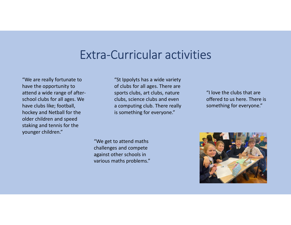### Extra-Curricular activities

"We are really fortunate to have the opportunity to attend a wide range of afterschool clubs for all ages. We have clubs like; football, hockey and Netball for the older children and speed staking and tennis for the younger children."

"St Ippolyts has a wide variety of clubs for all ages. There are sports clubs, art clubs, nature clubs, science clubs and even a computing club. There really is something for everyone."

"I love the clubs that are offered to us here. There is something for everyone."

"We get to attend maths challenges and compete against other schools in

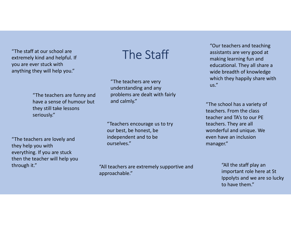"The staff at our school are<br>extremely kind and belify of extremely kind and helpful. If you are ever stuck with  $\begin{array}{lll} \text{\textit{``The staff at our school are} \textit{extremely kind and helpful. If} \text{\textit{``The teachers are 'with} \textit{``The teachers are '} \textit{``The teachers are '} \textit{``The teachers are '} \textit{``The teachers are running and \textit{``The teachers are } \textit{``The teachers are } \textit{``The} \textit{``The} \textit{``The} \textit{``The} \textit{``The} \textit{``The} \textit{``The} \textit{``The} \textit{``The} \textit{``The} \textit{``The} \textit{``The} \textit{``The} \textit{``The} \textit{``The} \textit{``The} \text$ 

"The teachers are funny and Fraction and helpful. If<br>
they will help you."<br>
Here stuck with<br>
they will help you."<br>
"The teachers are very<br>
"The teachers are very<br>
"The teachers are very<br>
"The teachers are very<br>
"The teachers are very<br>
"The teachers a they still take lessons seriously."

"The staff at our school are<br>
extremely kind and helpful. If<br>
you are ever stuck with<br>
anything they will help you."<br>
"The teachers are very<br>
understanding and any<br>
"The teachers are funny and<br>
"The teachers are funny and they help you with everything. If you are stuck then the teacher will help you

"The teachers are very<br>understanding and any us." problems are dealt with fairly and calmly."

"Teachers encourage us to try our best, be honest, be independent and to be ourselves."

through it." Through it." Through it." The same was through it." The same was through it." The same was the same was the same was the same was the same was the same was the same was the same was the same was the same was t approachable."

"Our teachers and teaching assistants are very good at making learning fun and educational. They all share a wide breadth of knowledge which they happily share with We set the teachers and teach assistants are very good<br>
"Our teachers and teach<br>
making learning fun and<br>
educational. They all sha<br>
wide breadth of knowlec<br>
"The teachers are very<br>
understanding and any<br>
problems are deal

"The school has a variety of teachers. From the class teacher and TA's to our PE teachers. They are all wonderful and unique. We even have an inclusion manager."

> "All the staff play an important role here at St Ippolyts and we are so lucky to have them."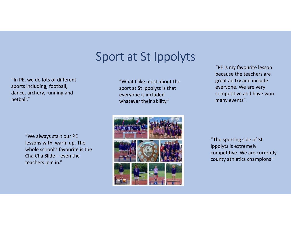## Sport at St Ippolyts

"In PE, we do lots of different sports including, football, dance, archery, running and netball."

> "We always start our PE lessons with warm up. The whole school's favourite is the teachers join in."

"What I like most about the sport at St Ippolyts is that everyone is included whatever their ability."



"PE is my favourite lesson because the teachers are great ad try and include everyone. We are very competitive and have won many events".

"The sporting side of St Ippolyts is extremely competitive. We are currently county athletics champions "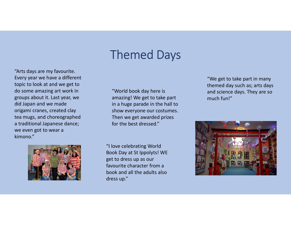# Themed Days

"Arts days are my favourite. Every year we have a different topic to look at and we get to "<br>
"Arts days are my favourite.<br>
Every year we have a different<br>
topic to look at and we get to<br>
do some amazing art work in<br>
groups about it. Last year, we<br>
did Japan and we made<br>
origanic craated clay<br>
tea muzs, and chor groups about it. Last year, we did Japan and we made origami cranes, created clay tea mugs, and choreographed a traditional Japanese dance; we even got to wear a kimono."



"World book day here is amazing! We get to take part in a huge parade in the hall to show everyone our costumes. Then we get awarded prizes for the best dressed."

"I love celebrating World Book Day at St Ippolyts! WE get to dress up as our favourite character from a book and all the adults also dress up."

"We get to take part in many themed day such as; arts days and science days. They are so much fun!"

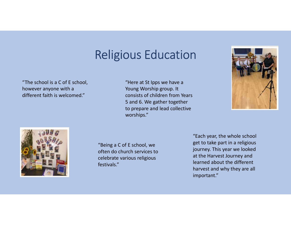# Religious Education

"The school is a C of E school, however anyone with a different faith is welcomed."

Young Worship group. It consists of children from Years 5 and 6. We gather together to prepare and lead collective worships."





"Being a C of E school, we often do church services to celebrate various religious festivals."

"Each year, the whole school get to take part in a religious journey. This year we looked at the Harvest Journey and learned about the different harvest and why they are all important."